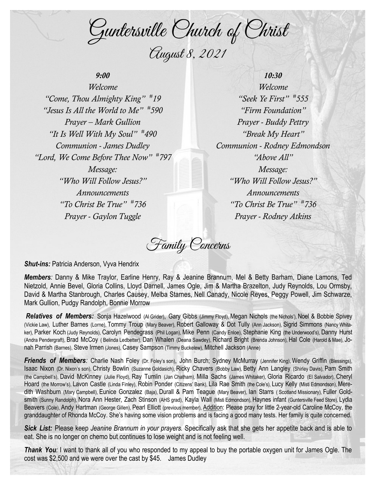Guntersville Church of Christ August 8, 2021

## *9:00*

*Welcome "Come, Thou Almighty King" # 19 "Jesus Is All the World to Me" # 590 Prayer – Mark Gullion "It Is Well With My Soul" # 490 Communion - James Dudley "Lord, We Come Before Thee Now" # 797 Message: "Who Will Follow Jesus?" Announcements "To Christ Be True" # 736 Prayer - Gaylon Tuggle*

*10:30 Welcome "Seek Ye First" # 555 "Firm Foundation" Prayer - Buddy Pettry "Break My Heart" Communion - Rodney Edmondson "Above All" Message: "Who Will Follow Jesus?" Announcements "To Christ Be True" # 736 Prayer - Rodney Atkins*

Family Concerns

*Shut-ins: Patricia Anderson, Vyva Hendrix* 

*Members:* Danny & Mike Traylor, Earline Henry, Ray & Jeanine Brannum, Mel & Betty Barham, Diane Lamons, Ted Nietzold, Annie Bevel, Gloria Collins, Lloyd Darnell, James Ogle, Jim & Martha Brazelton, Judy Reynolds, Lou Ormsby, David & Martha Stanbrough, Charles Causey, Melba Starnes, Nell Canady, Nicole Reyes, Peggy Powell, Jim Schwarze, Mark Gullion, Pudgy Randolph, Bonnie Morrow

*Relatives of Members:* Sonja Hazelwood (Al Grider), Gary Gibbs (Jimmy Floyd), Megan Nichols (the Nichols'), Noel & Bobbie Spivey (Vickie Law), Luther Barnes (Lorne), Tommy Troup (Mary Beaver), Robert Galloway & Dot Tully (Ann Jackson), Sigrid Simmons (Nancy Whitaker), Parker Koch (Judy Reynolds), Carolyn Pendegrass (Phil Logan), Mike Penn (Candy Enloe), Stephanie King (the Underwood's), Danny Hurst (Andra Pendergraft), Brad McCoy ( Belinda Ledbetter), Dan Whalen (Deana Sawdey), Richard Bright (Brenda Johnson), Hal Cole (Harold & Mae), Jonah Parrish (Barnes), Steve Irmen (Jones), Casey Sampson (Timmy Buckelew), Mitchell Jackson (Anne)

*Friends of Members:* Charlie Nash Foley (Dr. Foley's son), John Burch; Sydney McMurray (Jennifer King), Wendy Griffin (Blessings), Isaac Nixon (Dr. Nixon's son), Christy Bowlin (Suzanne Goldasich), Ricky Chavers (Bobby Law), Betty Ann Langley (Shirley Davis), Pam Smith (the Campbell's), David McKinney (Julie Floyd), Ray Tumlin (Jan Chatham), Milla Sachs (James Whitaker), Gloria Ricardo (El Salvador), Cheryl Hoard (the Morrow's), Lavon Castle (Linda Finley), Robin Ponder (Citizens' Bank), Lila Rae Smith (the Cole's), Lucy Kelly (Misti Edmondson), Meredith Washburn (Mary Campbell), Eunice Gonzalez (Baja), Durall & Pam Teague (Mary Beaver), Ian Starrs (Scotland Missionary), Fuller Goldsmith (Sunny Randolph), Nora Ann Hester, Zach Stinson (AHS grad), Kayla Wall (Misti Edmondson), Haynes infant (Guntersville Feed Store), Lydia Beavers (Cole), Andy Hartman (George Gillen), Pearl Elliott (previous member), Addition: Please pray for little 2-year-old Caroline McCoy, the granddaughter of Rhonda McCoy. She's having some vision problems and is facing a good many tests. Her family is quite concerned.

*Sick List:* Please keep *Jeanine Brannum in your prayers.* Specifically ask that she gets her appetite back and is able to eat. She is no longer on chemo but continues to lose weight and is not feeling well.

*Thank You*: I want to thank all of you who responded to my appeal to buy the portable oxygen unit for James Ogle. The cost was \$2,500 and we were over the cast by \$45. James Dudley